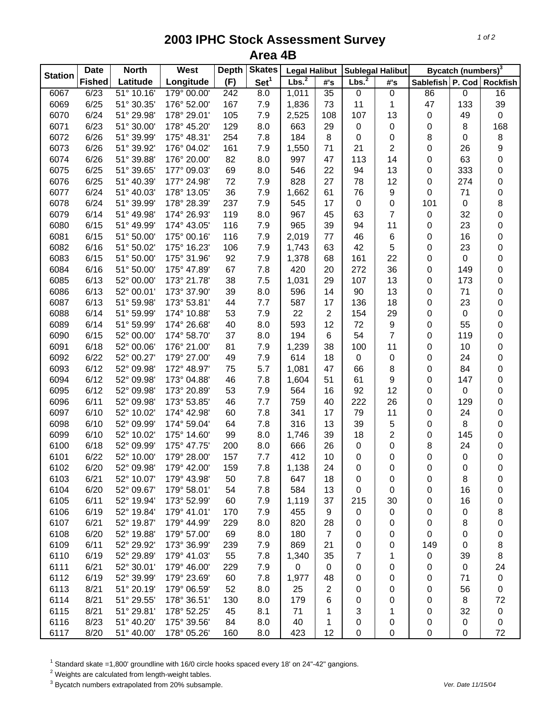## **2003 IPHC Stock Assessment Survey Area 4B**

| <b>Station</b> | <b>Date</b>   | <b>North</b> | <b>West</b> | <b>Depth</b> | <b>Skates</b>    | <b>Legal Halibut</b> |                     |                   | <b>Sublegal Halibut</b> |                           | Bycatch (numbers) <sup>3</sup> |                  |
|----------------|---------------|--------------|-------------|--------------|------------------|----------------------|---------------------|-------------------|-------------------------|---------------------------|--------------------------------|------------------|
|                | <b>Fished</b> | Latitude     | Longitude   | (F)          | Set <sup>1</sup> | Lbs. <sup>2</sup>    | $\#^{\centerdot}$ s | Lbs. <sup>2</sup> | #'s                     | Sablefish P. Cod Rockfish |                                |                  |
| 6067           | 6/23          | 51° 10.16'   | 179° 00.00' | 242          | 8.0              | 1,011                | $\overline{35}$     | $\overline{0}$    | $\pmb{0}$               | 86                        | $\overline{0}$                 | 16               |
| 6069           | 6/25          | 51° 30.35'   | 176° 52.00' | 167          | 7.9              | 1,836                | 73                  | 11                | 1                       | 47                        | 133                            | 39               |
| 6070           | 6/24          | 51° 29.98'   | 178° 29.01' | 105          | 7.9              | 2,525                | 108                 | 107               | 13                      | 0                         | 49                             | $\pmb{0}$        |
| 6071           | 6/23          | 51° 30.00'   | 178° 45.20' | 129          | 8.0              | 663                  | 29                  | $\pmb{0}$         | 0                       | 0                         | 8                              | 168              |
| 6072           | 6/26          | 51° 39.99'   | 175° 48.31' | 254          | 7.8              | 184                  | 8                   | $\boldsymbol{0}$  | 0                       | 8                         | 0                              | $\bf 8$          |
| 6073           | 6/26          | 51° 39.92'   | 176° 04.02' | 161          | 7.9              | 1,550                | 71                  | 21                | $\overline{c}$          | 0                         | 26                             | 9                |
| 6074           | 6/26          | 51° 39.88'   | 176° 20.00' | 82           | 8.0              | 997                  | 47                  | 113               | 14                      | 0                         | 63                             | 0                |
| 6075           | 6/25          | 51° 39.65'   | 177° 09.03' | 69           | 8.0              | 546                  | 22                  | 94                | 13                      | 0                         | 333                            | 0                |
| 6076           | 6/25          | 51° 40.39'   | 177° 24.98' | 72           | 7.9              | 828                  | 27                  | 78                | 12                      | 0                         | 274                            | 0                |
| 6077           | 6/24          | 51° 40.03'   | 178° 13.05' | 36           | 7.9              | 1,662                | 61                  | 76                | 9                       | 0                         | 71                             | 0                |
| 6078           | 6/24          | 51° 39.99'   | 178° 28.39' | 237          | 7.9              | 545                  | 17                  | 0                 | 0                       | 101                       | 0                              | 8                |
| 6079           | 6/14          | 51° 49.98'   | 174° 26.93' | 119          | 8.0              | 967                  | 45                  | 63                | 7                       | $\pmb{0}$                 | 32                             | 0                |
| 6080           | 6/15          | 51° 49.99'   | 174° 43.05' | 116          | 7.9              | 965                  | 39                  | 94                | 11                      | 0                         | 23                             | 0                |
| 6081           | 6/15          | 51° 50.00'   | 175° 00.16' | 116          | 7.9              | 2,019                | 77                  | 46                | 6                       | 0                         | 16                             | 0                |
| 6082           | 6/16          | 51° 50.02'   | 175° 16.23' | 106          | 7.9              | 1,743                | 63                  | 42                | 5                       | 0                         | 23                             | 0                |
| 6083           | 6/15          | 51° 50.00'   | 175° 31.96' | 92           | 7.9              | 1,378                | 68                  | 161               | 22                      | 0                         | 0                              | 0                |
| 6084           | 6/16          | 51° 50.00'   | 175° 47.89' | 67           | 7.8              | 420                  | 20                  | 272               | 36                      | 0                         | 149                            | 0                |
| 6085           | 6/13          | 52° 00.00'   | 173° 21.78' | 38           | 7.5              | 1,031                | 29                  | 107               | 13                      | 0                         | 173                            | 0                |
| 6086           | 6/13          | 52° 00.01'   | 173° 37.90' | 39           | 8.0              | 596                  | 14                  | 90                | 13                      | 0                         | 71                             | 0                |
| 6087           | 6/13          | 51° 59.98'   | 173° 53.81' | 44           | 7.7              | 587                  | 17                  | 136               | 18                      | 0                         | 23                             | $\mathsf 0$      |
| 6088           | 6/14          | 51° 59.99'   | 174° 10.88' | 53           | 7.9              | 22                   | $\overline{2}$      | 154               | 29                      | 0                         | 0                              | $\mathsf 0$      |
| 6089           | 6/14          | 51° 59.99'   | 174° 26.68' | 40           | 8.0              | 593                  | 12                  | 72                | $\boldsymbol{9}$        | 0                         | 55                             | $\mathsf 0$      |
| 6090           | 6/15          | 52° 00.00'   | 174° 58.70' | 37           | 8.0              | 194                  | 6                   | 54                | $\overline{7}$          | 0                         | 119                            | $\mathsf 0$      |
| 6091           | 6/18          | 52° 00.06'   | 176° 21.00' | 81           | 7.9              | 1,239                | 38                  | 100               | 11                      | 0                         | 10                             | 0                |
| 6092           | 6/22          | 52° 00.27'   | 179° 27.00' | 49           | 7.9              | 614                  | 18                  | $\pmb{0}$         | 0                       | 0                         | 24                             | 0                |
| 6093           | 6/12          | 52° 09.98'   | 172° 48.97' | 75           | 5.7              | 1,081                | 47                  | 66                | 8                       | 0                         | 84                             | 0                |
| 6094           | 6/12          | 52° 09.98'   | 173° 04.88' | 46           | 7.8              | 1,604                | 51                  | 61                | 9                       | 0                         | 147                            | 0                |
| 6095           | 6/12          | 52° 09.98'   | 173° 20.89' | 53           | 7.9              | 564                  | 16                  | 92                | 12                      | 0                         | 0                              | 0                |
| 6096           | 6/11          | 52° 09.98'   | 173° 53.85' | 46           | 7.7              | 759                  | 40                  | 222               | 26                      | 0                         | 129                            | 0                |
| 6097           | 6/10          | 52° 10.02'   | 174° 42.98' | 60           | 7.8              | 341                  | 17                  | 79                | 11                      | 0                         | 24                             | 0                |
| 6098           | 6/10          | 52° 09.99'   | 174° 59.04' | 64           | 7.8              | 316                  | 13                  | 39                | 5                       | 0                         | 8                              | 0                |
| 6099           | 6/10          | 52° 10.02'   | 175° 14.60' | 99           | 8.0              | 1,746                | 39                  | 18                | $\overline{2}$          | 0                         | 145                            | 0                |
| 6100           | 6/18          | 52° 09.99'   | 175° 47.75' | 200          | 8.0              | 666                  | 26                  | 0                 | 0                       | 8                         | 24                             | 0                |
| 6101           | 6/22          | 52° 10.00'   | 179° 28.00' | 157          | 7.7              | 412                  | 10                  | 0                 | 0                       | 0                         | 0                              | $\boldsymbol{0}$ |
| 6102           | 6/20          | 52° 09.98'   | 179° 42.00' | 159          | 7.8              | 1,138                | 24                  | 0                 | 0                       | 0                         | 0                              | 0                |
| 6103           | 6/21          | 52° 10.07'   | 179° 43.98' | 50           | 7.8              | 647                  | 18                  | 0                 | 0                       | 0                         | 8                              | 0                |
| 6104           | 6/20          | 52° 09.67'   | 179° 58.01' | 54           | 7.8              | 584                  | 13                  | 0                 | 0                       | 0                         | 16                             | 0                |
| 6105           | 6/11          | 52° 19.94'   | 173° 52.99' | 60           | 7.9              | 1,119                | 37                  | 215               | 30                      | 0                         | 16                             | 0                |
| 6106           | 6/19          | 52° 19.84'   | 179° 41.01' | 170          | 7.9              | 455                  | 9                   | $\pmb{0}$         | $\pmb{0}$               | 0                         | 0                              | 8                |
| 6107           | 6/21          | 52° 19.87'   | 179° 44.99' | 229          | 8.0              | 820                  | 28                  | 0                 | 0                       | 0                         | 8                              | 0                |
| 6108           | 6/20          | 52° 19.88'   | 179° 57.00' | 69           | 8.0              | 180                  | $\overline{7}$      | 0                 | 0                       | 0                         | 0                              | 0                |
| 6109           | 6/11          | 52° 29.92'   | 173° 36.99' | 239          | 7.9              | 869                  | 21                  | 0                 | 0                       | 149                       | 0                              | 8                |
| 6110           | 6/19          | 52° 29.89'   | 179° 41.03' | 55           | 7.8              | 1,340                | 35                  | 7                 | 1                       | 0                         | 39                             | 8                |
| 6111           | 6/21          | 52° 30.01'   | 179° 46.00' | 229          | 7.9              | 0                    | 0                   | 0                 | 0                       | 0                         | 0                              | 24               |
| 6112           | 6/19          | 52° 39.99'   | 179° 23.69' | 60           | 7.8              | 1,977                | 48                  | 0                 | 0                       | 0                         | 71                             | $\pmb{0}$        |
| 6113           | 8/21          | 51° 20.19'   | 179° 06.59' | 52           | 8.0              | 25                   | 2                   | 0                 | 0                       | 0                         | 56                             | $\mathbf 0$      |
| 6114           | 8/21          | 51° 29.55'   | 178° 36.51' | 130          | 8.0              | 179                  | 6                   | 0                 | 0                       | 0                         | 8                              | 72               |
| 6115           | 8/21          | 51° 29.81'   | 178° 52.25' | 45           | 8.1              | 71                   | 1                   | 3                 | 1                       | 0                         | 32                             | $\pmb{0}$        |
| 6116           | 8/23          | 51° 40.20'   | 175° 39.56' | 84           | 8.0              | 40                   | 1                   | 0                 | 0                       | 0                         | 0                              | $\pmb{0}$        |
| 6117           | 8/20          | 51° 40.00'   | 178° 05.26' | 160          | 8.0              | 423                  | 12                  | 0                 | 0                       | 0                         | 0                              | 72               |

 $^1$  Standard skate =1,800' groundline with 16/0 circle hooks spaced every 18' on 24"-42" gangions.<br><sup>2</sup> Weights are calculated from length-weight tables.

3 Bycatch numbers extrapolated from 20% subsample. *Ver. Date 11/15/04*